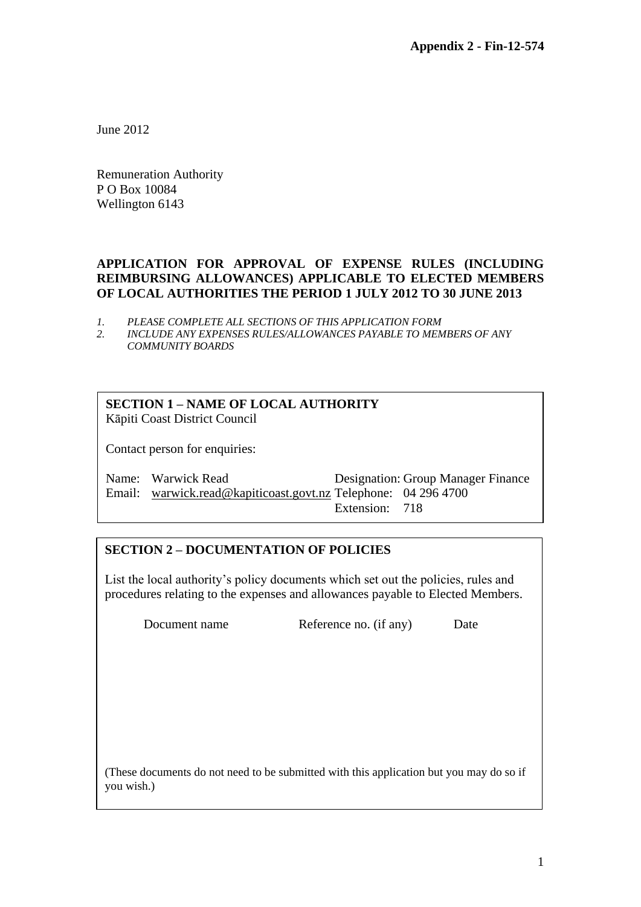June 2012

Remuneration Authority P O Box 10084 Wellington 6143

#### **APPLICATION FOR APPROVAL OF EXPENSE RULES (INCLUDING REIMBURSING ALLOWANCES) APPLICABLE TO ELECTED MEMBERS OF LOCAL AUTHORITIES THE PERIOD 1 JULY 2012 TO 30 JUNE 2013**

- *1. PLEASE COMPLETE ALL SECTIONS OF THIS APPLICATION FORM*
- *2. INCLUDE ANY EXPENSES RULES/ALLOWANCES PAYABLE TO MEMBERS OF ANY COMMUNITY BOARDS*

# **SECTION 1 – NAME OF LOCAL AUTHORITY**

Kāpiti Coast District Council

Contact person for enquiries:

Name: Warwick Read Designation: Group Manager Finance Email: [warwick.read@kapiticoast.govt.nz](mailto:warwick.read@kapiticoast.govt.nz) Telephone: 04 296 4700 Extension: 718

#### **SECTION 2 – DOCUMENTATION OF POLICIES**

List the local authority's policy documents which set out the policies, rules and procedures relating to the expenses and allowances payable to Elected Members.

Document name Reference no. (if any) Date

(These documents do not need to be submitted with this application but you may do so if you wish.)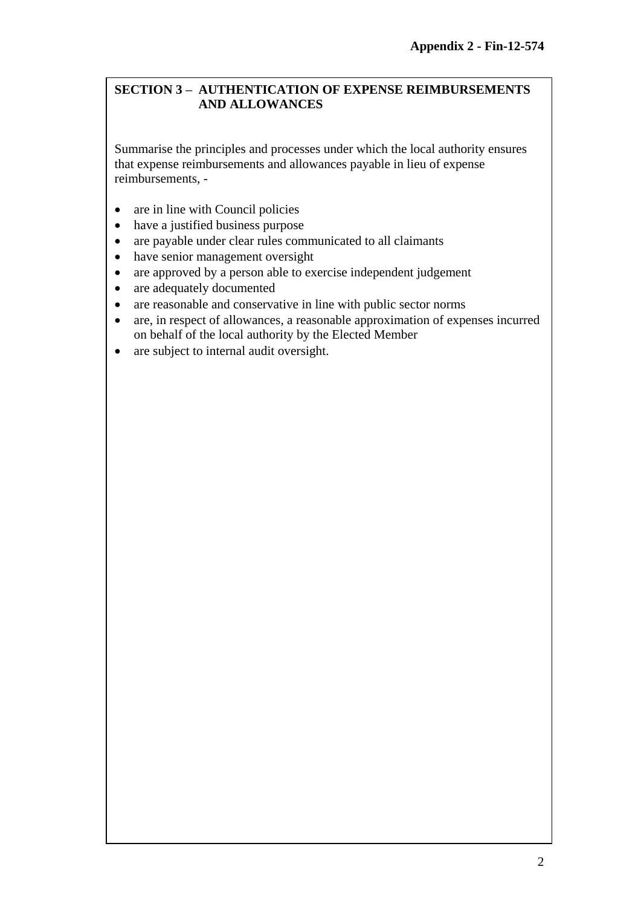## **SECTION 3 – AUTHENTICATION OF EXPENSE REIMBURSEMENTS AND ALLOWANCES**

Summarise the principles and processes under which the local authority ensures that expense reimbursements and allowances payable in lieu of expense reimbursements, -

- are in line with Council policies
- have a justified business purpose
- are payable under clear rules communicated to all claimants
- have senior management oversight
- are approved by a person able to exercise independent judgement
- are adequately documented
- are reasonable and conservative in line with public sector norms
- are, in respect of allowances, a reasonable approximation of expenses incurred on behalf of the local authority by the Elected Member
- are subject to internal audit oversight.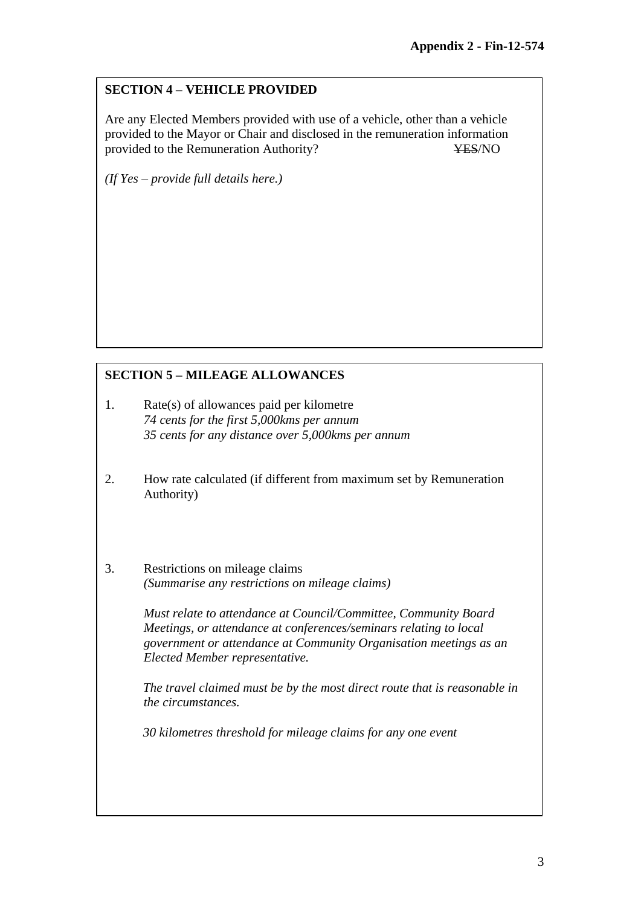# **SECTION 4 – VEHICLE PROVIDED**

Are any Elected Members provided with use of a vehicle, other than a vehicle provided to the Mayor or Chair and disclosed in the remuneration information provided to the Remuneration Authority? YES/NO

*(If Yes – provide full details here.)*

# **SECTION 5 – MILEAGE ALLOWANCES**

- 1. Rate(s) of allowances paid per kilometre *74 cents for the first 5,000kms per annum 35 cents for any distance over 5,000kms per annum*
- 2. How rate calculated (if different from maximum set by Remuneration Authority)
- 3. Restrictions on mileage claims *(Summarise any restrictions on mileage claims)*

*Must relate to attendance at Council/Committee, Community Board Meetings, or attendance at conferences/seminars relating to local government or attendance at Community Organisation meetings as an Elected Member representative.*

*The travel claimed must be by the most direct route that is reasonable in the circumstances.*

*30 kilometres threshold for mileage claims for any one event*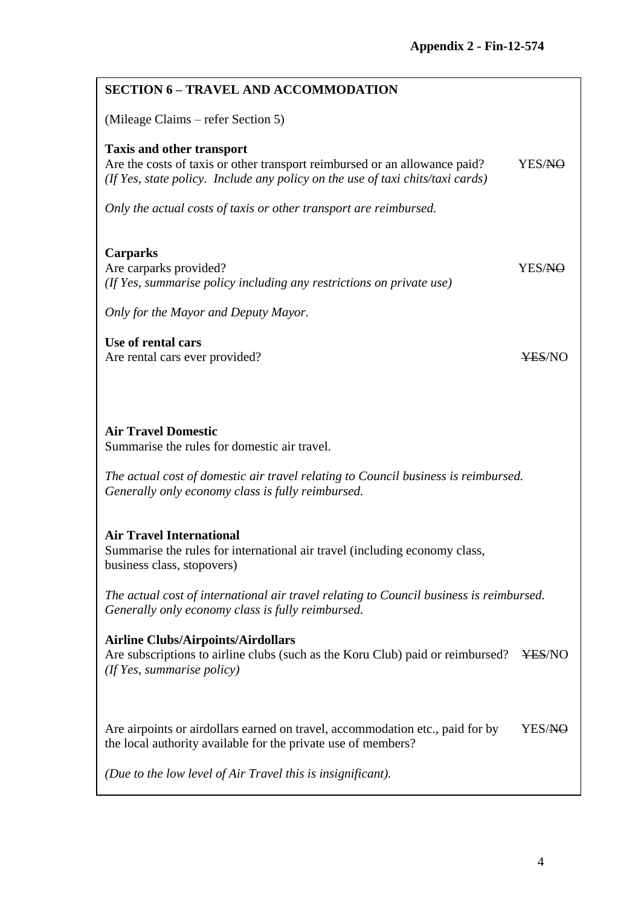| <b>SECTION 6 - TRAVEL AND ACCOMMODATION</b>                                                                                                                                                                                                                                                 |                    |  |  |
|---------------------------------------------------------------------------------------------------------------------------------------------------------------------------------------------------------------------------------------------------------------------------------------------|--------------------|--|--|
| (Mileage Claims – refer Section 5)                                                                                                                                                                                                                                                          |                    |  |  |
| <b>Taxis and other transport</b><br>Are the costs of taxis or other transport reimbursed or an allowance paid?<br>(If Yes, state policy. Include any policy on the use of taxi chits/taxi cards)                                                                                            | YES/ <del>NO</del> |  |  |
| Only the actual costs of taxis or other transport are reimbursed.                                                                                                                                                                                                                           |                    |  |  |
| <b>Carparks</b><br>Are carparks provided?<br>(If Yes, summarise policy including any restrictions on private use)                                                                                                                                                                           | YES/ <del>NO</del> |  |  |
| Only for the Mayor and Deputy Mayor.                                                                                                                                                                                                                                                        |                    |  |  |
| Use of rental cars<br>Are rental cars ever provided?                                                                                                                                                                                                                                        | <b>YES/NO</b>      |  |  |
| <b>Air Travel Domestic</b><br>Summarise the rules for domestic air travel.<br>The actual cost of domestic air travel relating to Council business is reimbursed.<br>Generally only economy class is fully reimbursed.                                                                       |                    |  |  |
| <b>Air Travel International</b><br>Summarise the rules for international air travel (including economy class,<br>business class, stopovers)<br>The actual cost of international air travel relating to Council business is reimbursed.<br>Generally only economy class is fully reimbursed. |                    |  |  |
| <b>Airline Clubs/Airpoints/Airdollars</b><br>Are subscriptions to airline clubs (such as the Koru Club) paid or reimbursed?<br>(If Yes, summarise policy)                                                                                                                                   | ¥ES/NO             |  |  |
| Are airpoints or airdollars earned on travel, accommodation etc., paid for by<br>the local authority available for the private use of members?                                                                                                                                              | YES/ <del>NO</del> |  |  |
| (Due to the low level of Air Travel this is insignificant).                                                                                                                                                                                                                                 |                    |  |  |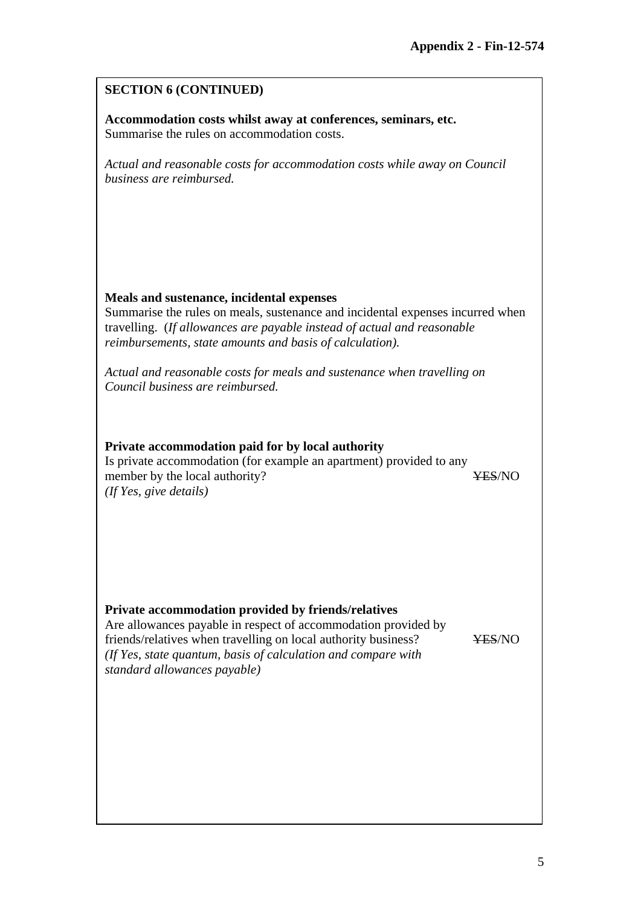### **SECTION 6 (CONTINUED)**

**Accommodation costs whilst away at conferences, seminars, etc.** Summarise the rules on accommodation costs.

*Actual and reasonable costs for accommodation costs while away on Council business are reimbursed.*

#### **Meals and sustenance, incidental expenses**

Summarise the rules on meals, sustenance and incidental expenses incurred when travelling. (*If allowances are payable instead of actual and reasonable reimbursements, state amounts and basis of calculation).*

*Actual and reasonable costs for meals and sustenance when travelling on Council business are reimbursed.*

#### **Private accommodation paid for by local authority**

Is private accommodation (for example an apartment) provided to any member by the local authority? YES/NO *(If Yes, give details)*

#### **Private accommodation provided by friends/relatives**

Are allowances payable in respect of accommodation provided by friends/relatives when travelling on local authority business? YES/NO *(If Yes, state quantum, basis of calculation and compare with standard allowances payable)*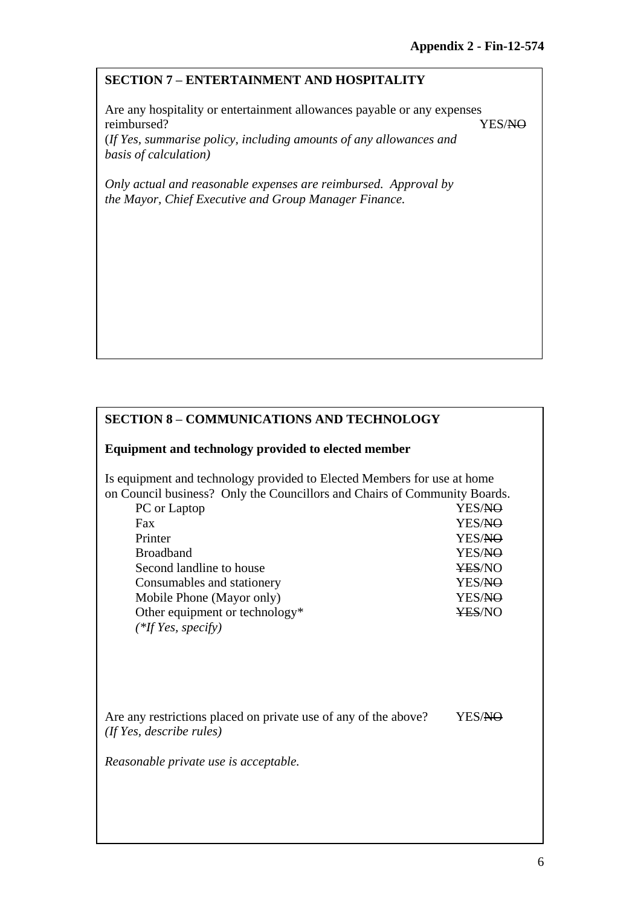#### **SECTION 7 – ENTERTAINMENT AND HOSPITALITY**

Are any hospitality or entertainment allowances payable or any expenses reimbursed? YES/NO

(*If Yes, summarise policy, including amounts of any allowances and basis of calculation)*

*Only actual and reasonable expenses are reimbursed. Approval by the Mayor, Chief Executive and Group Manager Finance.*

# **SECTION 8 – COMMUNICATIONS AND TECHNOLOGY**

#### **Equipment and technology provided to elected member**

Is equipment and technology provided to Elected Members for use at home on Council business? Only the Councillors and Chairs of Community Boards.

| PC or Laptop                   | YES/ <del>NO</del> |
|--------------------------------|--------------------|
| Fax                            | YES/NO             |
| Printer                        | YES/NO             |
| <b>Broadband</b>               | YES/NO             |
| Second landline to house       | <b>¥ES/NO</b>      |
| Consumables and stationery     | YES/NO             |
| Mobile Phone (Mayor only)      | YES/NO             |
| Other equipment or technology* | <b>¥ES/NO</b>      |
| $(*$ If Yes, specify)          |                    |
|                                |                    |

| Are any restrictions placed on private use of any of the above? | YES/NO |
|-----------------------------------------------------------------|--------|
| (If Yes, describe rules)                                        |        |

*Reasonable private use is acceptable.*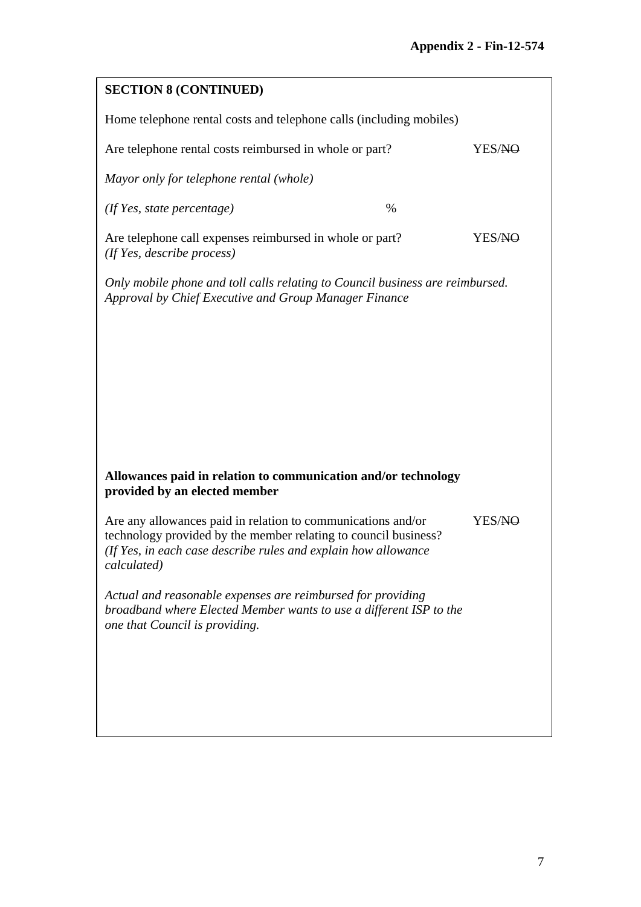| <b>SECTION 8 (CONTINUED)</b>                                                                                                                                                                                     |      |                    |  |  |
|------------------------------------------------------------------------------------------------------------------------------------------------------------------------------------------------------------------|------|--------------------|--|--|
| Home telephone rental costs and telephone calls (including mobiles)                                                                                                                                              |      |                    |  |  |
| Are telephone rental costs reimbursed in whole or part?                                                                                                                                                          |      | YES/NO             |  |  |
| Mayor only for telephone rental (whole)                                                                                                                                                                          |      |                    |  |  |
| $($ If Yes, state percentage $)$                                                                                                                                                                                 | $\%$ |                    |  |  |
| Are telephone call expenses reimbursed in whole or part?<br>(If Yes, describe process)                                                                                                                           |      | YES/ <del>NO</del> |  |  |
| Only mobile phone and toll calls relating to Council business are reimbursed.<br>Approval by Chief Executive and Group Manager Finance                                                                           |      |                    |  |  |
|                                                                                                                                                                                                                  |      |                    |  |  |
|                                                                                                                                                                                                                  |      |                    |  |  |
|                                                                                                                                                                                                                  |      |                    |  |  |
|                                                                                                                                                                                                                  |      |                    |  |  |
|                                                                                                                                                                                                                  |      |                    |  |  |
| Allowances paid in relation to communication and/or technology<br>provided by an elected member                                                                                                                  |      |                    |  |  |
| Are any allowances paid in relation to communications and/or<br>technology provided by the member relating to council business?<br>(If Yes, in each case describe rules and explain how allowance<br>calculated) |      | YES/NO             |  |  |
| Actual and reasonable expenses are reimbursed for providing<br>broadband where Elected Member wants to use a different ISP to the<br>one that Council is providing.                                              |      |                    |  |  |
|                                                                                                                                                                                                                  |      |                    |  |  |
|                                                                                                                                                                                                                  |      |                    |  |  |
|                                                                                                                                                                                                                  |      |                    |  |  |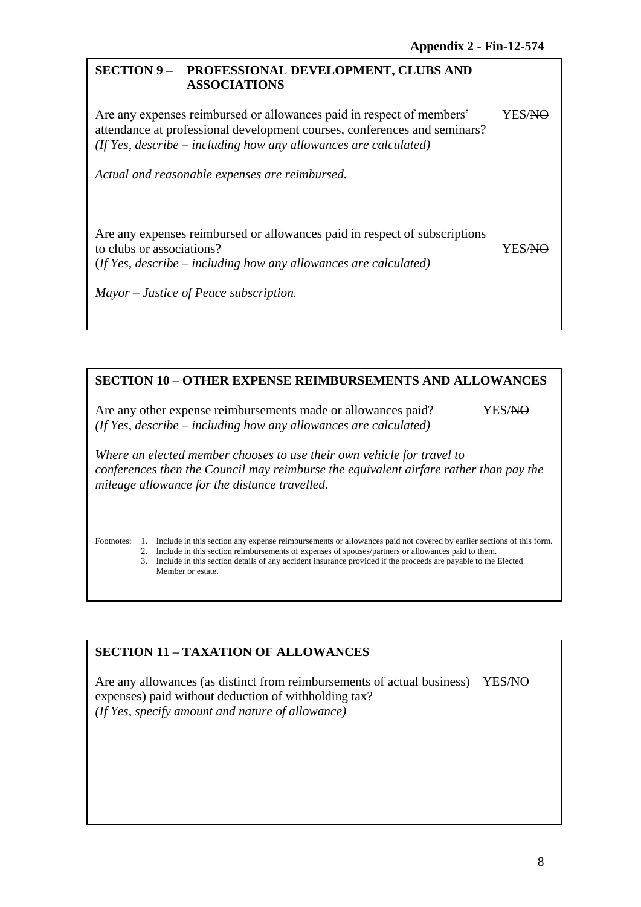#### **SECTION 9 – PROFESSIONAL DEVELOPMENT, CLUBS AND ASSOCIATIONS**

Are any expenses reimbursed or allowances paid in respect of members' YES/NO attendance at professional development courses, conferences and seminars? *(If Yes, describe – including how any allowances are calculated)*

*Actual and reasonable expenses are reimbursed.*

Are any expenses reimbursed or allowances paid in respect of subscriptions to clubs or associations? YES/NO (*If Yes, describe – including how any allowances are calculated)*

*Mayor – Justice of Peace subscription.*

#### **SECTION 10 – OTHER EXPENSE REIMBURSEMENTS AND ALLOWANCES**

Are any other expense reimbursements made or allowances paid? YES/NO *(If Yes, describe – including how any allowances are calculated)*

*Where an elected member chooses to use their own vehicle for travel to conferences then the Council may reimburse the equivalent airfare rather than pay the mileage allowance for the distance travelled.*

Footnotes: 1. Include in this section any expense reimbursements or allowances paid not covered by earlier sections of this form.

2. Include in this section reimbursements of expenses of spouses/partners or allowances paid to them.

3. Include in this section details of any accident insurance provided if the proceeds are payable to the Elected Member or estate.

#### **SECTION 11 – TAXATION OF ALLOWANCES**

Are any allowances (as distinct from reimbursements of actual business) YES/NO expenses) paid without deduction of withholding tax? *(If Yes, specify amount and nature of allowance)*